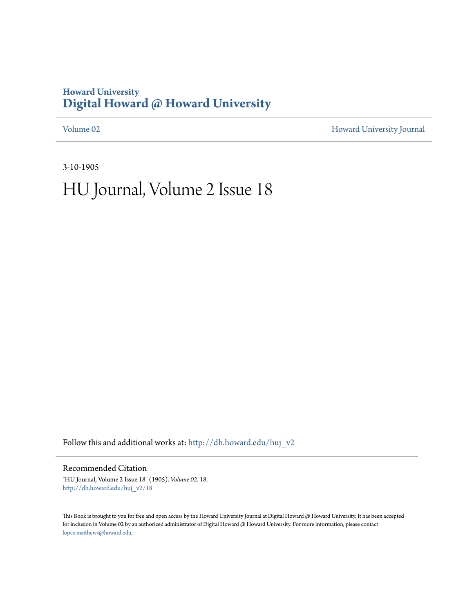### **Howard University [Digital Howard @ Howard University](http://dh.howard.edu?utm_source=dh.howard.edu%2Fhuj_v2%2F18&utm_medium=PDF&utm_campaign=PDFCoverPages)**

[Volume 02](http://dh.howard.edu/huj_v2?utm_source=dh.howard.edu%2Fhuj_v2%2F18&utm_medium=PDF&utm_campaign=PDFCoverPages) [Howard University Journal](http://dh.howard.edu/huj?utm_source=dh.howard.edu%2Fhuj_v2%2F18&utm_medium=PDF&utm_campaign=PDFCoverPages)

3-10-1905

# HU Journal, Volume 2 Issue 18

Follow this and additional works at: [http://dh.howard.edu/huj\\_v2](http://dh.howard.edu/huj_v2?utm_source=dh.howard.edu%2Fhuj_v2%2F18&utm_medium=PDF&utm_campaign=PDFCoverPages)

Recommended Citation

"HU Journal, Volume 2 Issue 18" (1905). *Volume 02*. 18. [http://dh.howard.edu/huj\\_v2/18](http://dh.howard.edu/huj_v2/18?utm_source=dh.howard.edu%2Fhuj_v2%2F18&utm_medium=PDF&utm_campaign=PDFCoverPages)

This Book is brought to you for free and open access by the Howard University Journal at Digital Howard @ Howard University. It has been accepted for inclusion in Volume 02 by an authorized administrator of Digital Howard @ Howard University. For more information, please contact [lopez.matthews@howard.edu.](mailto:lopez.matthews@howard.edu)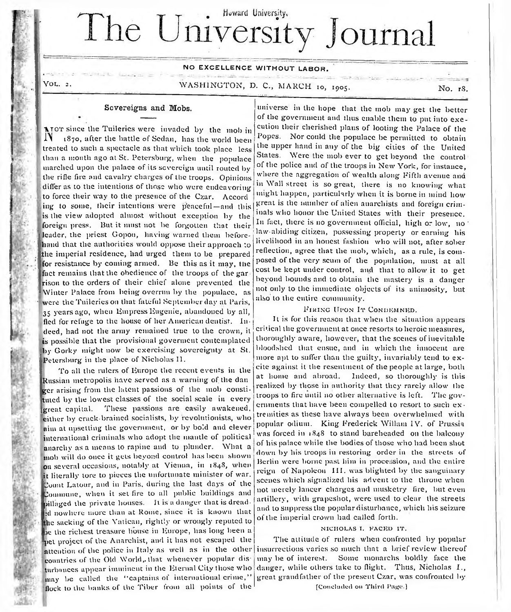# Howard University. The University Journal

### NO EXCELLENCE WITHOUT LABOR.

**YOL. 2.** 

n.

WASHINGTON, D. C., MARCH 10, 1905. NO. 18.

### **Sovereigns and Mobs.**

The Tuileries were invaded by the mob in  $\text{N}$  (870, after the battle of Sedan, has the world been 1870, after the battle of Sedan, has the world been treated to such a spectacle as that which took place less than a month ago at St. Petersburg, when the populace marched upon the palace of its sovereign until routed by the rifle fire and cavalry charges of the troops. Opinions differ as to the intentions of those who were endeavoring to force their way to the presence of the Czar. Accord ing to some, their intentions were p'eaceful — and this is the view adopted almost without exception by the foreign press. But it must not be forgotten that their leader, the priest Gopon, having warned them beforehand that the authorities would oppose their approach to the imperial residence, had urged them to be prepared for resistance by coming armed. Be this as it may, the fact remains that the obedience of the troops of the gar rison to the orders of their chief alone prevented the Winter Palace from being overrun by the populace, as were the Tuileries on that fateful September day at Paris, 35 years ago, when Empress Eugenie, abandoned by all, fled for refuge to the house of her American dentist. Indeed, had not the army remained true to the crown, it is possible that the provisional goverment contemplated by Gorky might now be exercising sovereignty at St. Petersburg in the place of Nicholas 11.

To all the rulers of Europe the recent events in the Russian metropolis have served as a warning of the dan ger arising from the latent passions of the mob constituted by the lowest classes of the social scale in every great capital. These passions are easily awakened, either by crack-brained socialists, by revolutionists, who aim at upsetting the government, or by bold and clever international criminals who adopt the mantle of political anarchy as a means to rapine and to plunder. What a mob will do once it gels beyond control has been shown on several occasions, notably at Vienna, in 1848, when it literally lore to pieces the unfortunate minister of war. Count Latour, and in Paris, during the last days of the Commune, when it set fire to all public buildings and pillaged the private houses. It is a danger that is dreadid nowhere more than at Rome, since it is known that lie sacking of the Vatican, rightly or wrongly reputed to be the richest treasure house in Europe, has long been a pet project of the Anarchist, and it has not escaped the attention of the police in Italy as well as in the other countries of the Old World,, that whenever popular disturbances appear imminent in the Eternal City those who may be called the "captains of international crime," flock to the banks of the Tiber from all points of the

universe in the hope that the mob may get the better of the government and thus enable them to put into execution their cherished plans of looting the Palace of the Popes. Nor could the populace be permitted to obtain the upper hand in any or the big cities of the United States. Were the mob ever to get beyond the control of the police and of the troops in New York, for instance, where the aggregation of wealth along Fifth avenue and in Wall street is so great, there is no knowing what might happen, particularly when it is borne in mind how great is the number of alien anarchists and foreign criminals who honor the United States with their presence. In fact, there is no government official, high or low, no law-abiding citizen, possessing property or earning bis livelihood in an honest fashion who will not, after sober reflection, agree that the mob, which, as a rule, is com posed of the very scum of the population, must at all cost be kept under control, and that to allow it to get beyond bounds and to obtain the mastery is a danger not only to the immediate objects of its animosity, but also to the entire community.

#### FIRING UPON IT CONDEMNED.

It is for this reason that when the situation appears critical the government at once resorts to heroic measures, thoroughly aware, however, that the scenes of inevitable bloodshed that ensue, and in which the innocent are more apt to suffer than the guilty, invariably tend to excite against it the resentment of the people at large, both at home and abroad. Indeed, so thoroughly is this realized by those in authority that they rarely allow the troops to fire until no other alternative is left. The governments that have been compelled to resort to such  $ex +$ tremities as these have always been overwhelmed with popular odium. King Frederick Wiliam IV. of Prussia was forced in 1848 to stand bareheaded on the balcony of his palace while the bodies of those who had been shot down by bis troops in restoring order in the streets of Berlin were borne past him in procession, and the entire reign of Napoleon III. was blighted by the sanguinary scenes which signalized bis advent to the throne when not merely lancer charges and musketry fire, but even artillery, with grapeshot, were used to clear the streets and to suppress the popular disturbance, which his seizure of the imperial crown had called forth.

#### NICHOLAS I. FACED IT.

The attitude of rulers when confronted by popular insurrections varies so much that a brief review thereof may be of interest. Some monarehs boldly face the danger, while others take to flight. Thus, Nicholas I., great grandfather of the present Czar, was confronted by

[Concluded on Third Page.]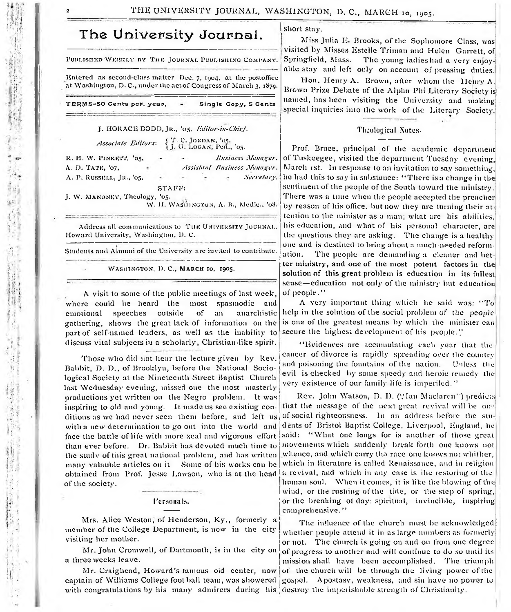### The University Journal.

PUBLISHED WEEKLY BY THE JOURNAL PUBLISHING COMPANY.

Kntered as second-class matter Dec. 7, 1904, at the postoffice at Washington, D. C., under the act of Congress of March 3, 1879.

TERMS-50 Cents per. year, - Single Copy, 5 Cents

### J. HORACE DODD, JR., '05. *Editor-in-Chief. Associate Editors*: { *j*, G, LOGAN, Ped., '05.

R. H. W. PINKETT, '05, A. D. TATE, '07, A. P. RUSSELL, JR., '05, *Easiness Manager. Assistant Easiness Manager. Secreta ry.* STAFF:

J. W. MANONEY, Theology, '05. W. II. WASHINGTON, A. B., Medic., '08.

Address all communications to THE UNIVERSITY JOURNAL, Howard University, Washington, D. C.

Students and Alumni of the University are invited to contribute.

WASHINGTON, D. C., MARCH IO, 1905.

A visit to some of the public meetings of last week, where could be heard the most spasmodic and emotional speeches outside of an anarchistic gathering, shows the great lack of information on the part of self-named leaders, as well as the inability to discuss vital subjects in a scholarly, Christian-like spirit.

Those who did not hear the lecture given by Rev. Babbit, D. D., of Brooklyn, before the National Sociological Society at the Nineteenth Street Baptist Church last Wednesday evening, missed one the most masterly productions yet written on the Negro problem. It was inspiring to old and young. It made us see existiug conditions as we had never seen them before, and left us with a new determination to go out into the world and face the battle of life with more zeal and vigorous effort than ever before. Dr. Babbit has devoted much time to the study of this great national problem, and has written many valauble articles on it Some of his works can be obtained from Prof. Jesse Lawson, who is at the head a revival, and which in any case is ihe restoring of the of the society.

#### Personals.

Mrs. Alice Weston, of Henderson, Ky., formerly a member of the College Department, is now in the city visiting her mother.

a three weeks leave.

captain of Williams College foot ball team, was showered with congratulations by his many admirers during his destroy the imperishable strength of Christianity

short stay.

Miss Julia K. Brooks, of the Sophomore Class, was visited by Misses Estelle Triman and Helen Garrett, of<br>Springfield, Mass. The young ladies had a very enjoy-The young ladieshad a very enjoyable stay and left only on account of pressing duties.

Hon. Henry A. Brown, after whom the Henry A. Brown Prize Debate of the Alpha Phi Literary Society is named, has been visiting the University and making special inquiries into the work of the Literary Society.

#### Theological Notes-

Prof. Bruce, principal of the academic department of Tuskcegee, visited the department Tuesday evening, March ist. In response to an invitation to sav something, he had this to say in substance: "There is a change in the sentiment of the people of the South toward the ministry. There was a time when the people accepted the preacher by reason of his office, but now they are turning their at-• tenlion to the minister as a man; what arc his abilities, his education, and what of his personal character, are the questions they are asking. The change is a healthy one and is destined to bring about a much-needed reformation. The people are demanding a cleaner and better ministry, and one of the most potent factors in the solution of this great problem is education in its fullest sense— education not only of the ministry but education of people."

A very important thing which he said was: "To help in the solution of the social problem of the *people* is one of the greatest means by which the minister can secure the highest development of his people.''

" Evidences are accumulating each year that the cancer of divorce is rapidly spreading over the country and poisoning the fountains of the nation. Unless the evil is checked by some speedy and heroic remedy the very existence of our family life is imperiled."

Rev. John Watson, D. D. ("Ian Maclaren'') predicts that the message of the next great revival will be out-! of social righteousness. In an address before the students of Bristol Baptist College, Liverpool, England, he said: "What one longs for is another of those great movements which suddenly break forth one knows not whence, and which carry tha race one knows not whither, which in literature is called Renaissance, and in religion human soul. When it comes, it is like the blowing of the I wind, or the rushing of the tide, or the step of spring, or the breaking of day: spiritual, invincible, inspiring comprehensive."

Mr. John Cromwell, of Dartmouth, is in the city on of progress to another and will continue to do so until its Mr. Craighead, Howard's famous old center, now of the church will be through the living power of the The influence of the church must be acknowledged whether people attend it in as large numbers as formerly or not. The church is going on and on from one degree mission shall have been accomplished. The triumph 'gospel. Apostasy, weakness, and sin have no power to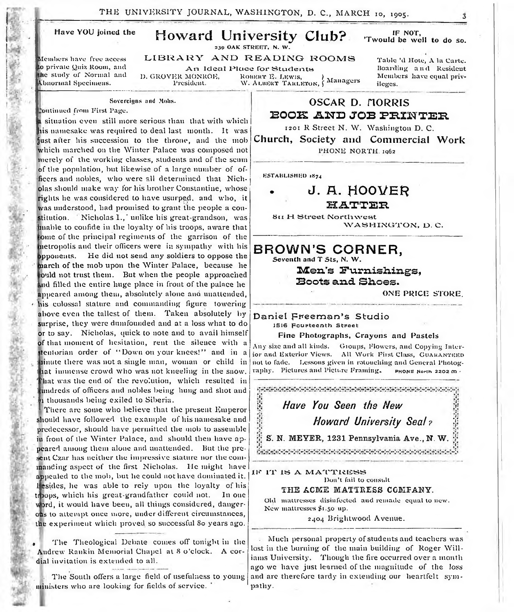THE UNIVERSITY JOURNAL, WASHINGTON, D. C., MARCH 10, 1905.

Have YOU joined the

### Howard University Club?

239 OAK STREET, N. W.

IF NOT, 'Twould be well to do so.

LIBRARY AND READING ROOMS

to private Quiz Room, and the study of Normal and Abnormal Specimens.

Members have free access

An Ideal Place for Students<br>D. GROVER MONROE. Robert E. Lewis.

D. GROVER MONROE, ROBERT E. LEWIS, *RESERVER MONROE,* ROBERT TARLETON, *f* Managers

T abic 'd Hote, A la Carte. Hoarding a n d Resident Members have equal privileges.

#### Sovereigns and Mobs.

outiuued from First Page.

a situation even still more serious than that with which lis namesake was required to deal last month. It was just alter his succession to the throne, and the mob Which marched on the Winter Palace was composed not merely of the working classes, students and of the scum of tlie population, but likewise of a large number of officers and nobles, who were all determined that Nicholas should make way for his brother Constantine, whose rights he was considered to have usurped, and who, it was understood, had promised to grant the people a constitution. Nicholas I., unlike his great-grandson, was mable to confide in the loyalty of his troops, aware that ome of the principal regiments of the garrison of the netropolis and their officers were in sympathy with his Opponents. He did not send any soldiers to oppose the narch of the mob upon the Winter Palace, because he buld not trust them. But when the people approached and filled the entire huge place in front of the palace he appeared among them, absolutely alone and unattended, his colossal stature and commanding figure towering above even the tallest of them. Taken absolutely by surprise, they were dumfounded and at a loss what to do or to say. Nicholas, quick lo note and to avail himself of that moment of hesitation, rent the silence with a itentorian order of "Down on your knees!" and in a rinute there was not a single man, woman or child in hat immense crowd who was not kneeling in the snow. *'* 'hat was the end of the revolution, which resulted in undreds of officers and nobles being hung and shot and i thousands being exiled to Siberia.

There are some who believe that the present Emperor should have followed the example of his namesake and predecessor, should have permitted the mob to assemble in front of the Winter Palace, and should then have appeared among them alone and unattended. But the present Czar has neither the impressive stature nor the commanding aspect of the first Nicholas. He might have appealed to the mob, but he could not have dominated it. 1 esides, he was able to rely upon the loyalty of his ti )ops, which his great-grandfather could not. In one word, it would have been, all things considered, dangerous to attempt once more, under different circumstances, the experiment which proved so successful So years ago.

The Theological Debate comes off tonight in the Andrew Rankin Memorial Chapel at S o'clock. A cordial invitation is extended to all.

The South offers a large field of usefulness to young ministers who are looking for fields of service.

OSCAR D. HORRIS EOOK AND JOB PRINTER

1201 R Street N. W. Washington D. C.

Church, Society and Commercial Work PHONE NORTH. 1962

ESTABLISHED 1874

### J. A. HOOVER **H A .T T E H**

**8**II H Street Northwest WASHINGTON, D.C.

BROWN'S CORNER. Seventh and T Sts, N. W.

> **Men's Furnishings, Boots and. Shoes .**

> > ONE PRICE STORE.

Daniel Freeman's Studio 1516 Fourteenth Street

#### Fine Photographs, Crayons and Pastels

Any size and all kinds. Groups, Flowers, and Copying Interior and Exterior Views. All Work First Class, GUARANTEED not to fade. Lessons given in rotouching and General Photography. Pictures and Picture Framing. phone North 2202 m ·

|  | Have You Seen the New                                     |
|--|-----------------------------------------------------------|
|  | <b>Howard University Seal?</b>                            |
|  | S. N. MEYER, 1231 Pennsylvania Ave., N. W. $\frac{10}{2}$ |

IF IT IS A MATTRESS

Don't fail to consult

#### THE ACME MATTRESS COMFANY.

Old mattresses disinfected and remade equal lo new. New mattresses \$1.50 up.

2404 Brightwood Avenue.

Much personal property of students and teachers was lost in the burning of the main building of Roger Williams University. Though the fire occurred over a month ago we have just learned of the magnitude of the loss and are therefore tardy in extending our heartfelt sympathy.